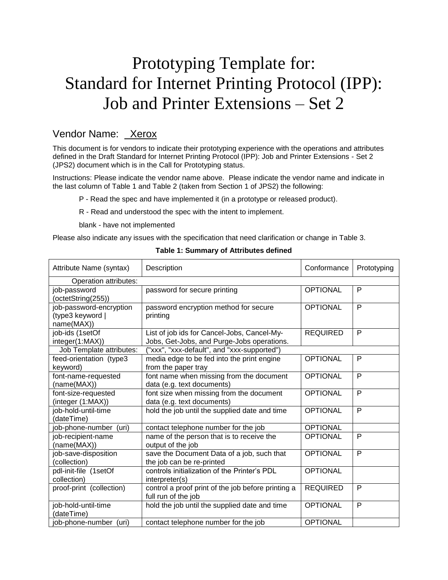# Prototyping Template for: Standard for Internet Printing Protocol (IPP): Job and Printer Extensions – Set 2

## Vendor Name: Xerox

This document is for vendors to indicate their prototyping experience with the operations and attributes defined in the Draft Standard for Internet Printing Protocol (IPP): Job and Printer Extensions - Set 2 (JPS2) document which is in the Call for Prototyping status.

Instructions: Please indicate the vendor name above. Please indicate the vendor name and indicate in the last column of [Table 1](#page-0-0) and [Table 2](#page-1-0) (taken from Section 1 of JPS2) the following:

- P Read the spec and have implemented it (in a prototype or released product).
- R Read and understood the spec with the intent to implement.

blank - have not implemented

<span id="page-0-0"></span>Please also indicate any issues with the specification that need clarification or change in [Table 3.](#page-2-0)

| Attribute Name (syntax)                                   | Description                                                                               | Conformance     | Prototyping    |  |
|-----------------------------------------------------------|-------------------------------------------------------------------------------------------|-----------------|----------------|--|
| Operation attributes:                                     |                                                                                           |                 |                |  |
| job-password<br>(octetString(255))                        | password for secure printing                                                              | <b>OPTIONAL</b> | P              |  |
| job-password-encryption<br>(type3 keyword  <br>name(MAX)) | password encryption method for secure<br>printing                                         | <b>OPTIONAL</b> | P              |  |
| job-ids (1setOf<br>integer(1:MAX))                        | List of job ids for Cancel-Jobs, Cancel-My-<br>Jobs, Get-Jobs, and Purge-Jobs operations. | <b>REQUIRED</b> | P              |  |
| Job Template attributes:                                  | ("xxx", "xxx-default", and "xxx-supported")                                               |                 |                |  |
| feed-orientation (type3<br>keyword)                       | media edge to be fed into the print engine<br>from the paper tray                         | <b>OPTIONAL</b> | P              |  |
| font-name-requested<br>(name(MAX))                        | font name when missing from the document<br>data (e.g. text documents)                    | <b>OPTIONAL</b> | P              |  |
| font-size-requested<br>(integer (1:MAX))                  | font size when missing from the document<br>data (e.g. text documents)                    | <b>OPTIONAL</b> | P              |  |
| job-hold-until-time<br>(dateTime)                         | hold the job until the supplied date and time                                             | <b>OPTIONAL</b> | P              |  |
| job-phone-number (uri)                                    | contact telephone number for the job                                                      | <b>OPTIONAL</b> |                |  |
| job-recipient-name<br>(name(MAX))                         | name of the person that is to receive the<br>output of the job                            | <b>OPTIONAL</b> | P              |  |
| job-save-disposition<br>(collection)                      | save the Document Data of a job, such that<br>the job can be re-printed                   | <b>OPTIONAL</b> | P              |  |
| pdl-init-file (1setOf<br>collection)                      | controls initialization of the Printer's PDL<br>interpreter(s)                            | <b>OPTIONAL</b> |                |  |
| proof-print (collection)                                  | control a proof print of the job before printing a<br>full run of the job                 | <b>REQUIRED</b> | P              |  |
| job-hold-until-time<br>(dateTime)                         | hold the job until the supplied date and time                                             | <b>OPTIONAL</b> | $\overline{P}$ |  |
| job-phone-number (uri)                                    | contact telephone number for the job                                                      | <b>OPTIONAL</b> |                |  |

#### **Table 1: Summary of Attributes defined**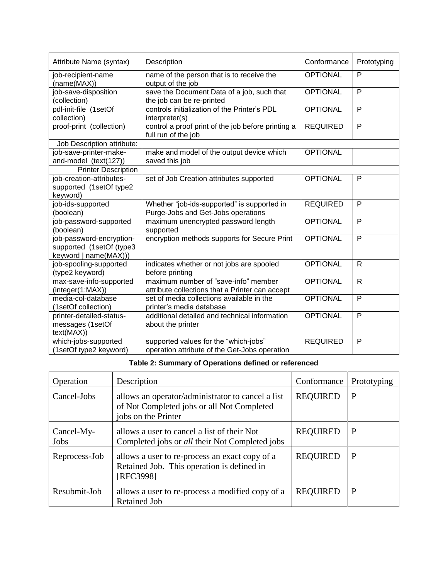| Attribute Name (syntax)                                                       | Description                                                                             | Conformance     | Prototyping  |
|-------------------------------------------------------------------------------|-----------------------------------------------------------------------------------------|-----------------|--------------|
| job-recipient-name<br>(name(MAX))                                             | name of the person that is to receive the<br>output of the job                          | <b>OPTIONAL</b> | P            |
| job-save-disposition<br>(collection)                                          | save the Document Data of a job, such that<br>the job can be re-printed                 | <b>OPTIONAL</b> | $\mathsf{P}$ |
| pdl-init-file (1setOf<br>collection)                                          | controls initialization of the Printer's PDL<br>interpreter(s)                          | <b>OPTIONAL</b> | ${\sf P}$    |
| proof-print (collection)                                                      | control a proof print of the job before printing a<br>full run of the job               | <b>REQUIRED</b> | $\mathsf{P}$ |
| Job Description attribute:                                                    |                                                                                         |                 |              |
| job-save-printer-make-<br>and-model (text(127))                               | make and model of the output device which<br>saved this job                             | <b>OPTIONAL</b> |              |
| <b>Printer Description</b>                                                    |                                                                                         |                 |              |
| job-creation-attributes-<br>supported (1setOf type2<br>keyword)               | set of Job Creation attributes supported                                                | <b>OPTIONAL</b> | $\mathsf{P}$ |
| job-ids-supported<br>(boolean)                                                | Whether "job-ids-supported" is supported in<br>Purge-Jobs and Get-Jobs operations       | <b>REQUIRED</b> | $\mathsf{P}$ |
| job-password-supported<br>(boolean)                                           | maximum unencrypted password length<br>supported                                        | <b>OPTIONAL</b> | $\mathsf{P}$ |
| job-password-encryption-<br>supported (1setOf (type3<br>keyword   name(MAX))) | encryption methods supports for Secure Print                                            | <b>OPTIONAL</b> | $\mathsf{P}$ |
| job-spooling-supported<br>(type2 keyword)                                     | indicates whether or not jobs are spooled<br>before printing                            | <b>OPTIONAL</b> | $\mathsf{R}$ |
| max-save-info-supported<br>(integer(1:MAX))                                   | maximum number of "save-info" member<br>attribute collections that a Printer can accept | <b>OPTIONAL</b> | $\mathsf{R}$ |
| media-col-database<br>(1setOf collection)                                     | set of media collections available in the<br>printer's media database                   | <b>OPTIONAL</b> | P            |
| printer-detailed-status-<br>messages (1setOf<br>text(MAX))                    | additional detailed and technical information<br>about the printer                      | <b>OPTIONAL</b> | $\mathsf{P}$ |
| which-jobs-supported<br>(1setOf type2 keyword)                                | supported values for the "which-jobs"<br>operation attribute of the Get-Jobs operation  | <b>REQUIRED</b> | $\mathsf{P}$ |

### **Table 2: Summary of Operations defined or referenced**

<span id="page-1-0"></span>

| Operation          | Description                                                                                                            | Conformance     | Prototyping |
|--------------------|------------------------------------------------------------------------------------------------------------------------|-----------------|-------------|
| Cancel-Jobs        | allows an operator/administrator to cancel a list<br>of Not Completed jobs or all Not Completed<br>jobs on the Printer | <b>REQUIRED</b> | P           |
| Cancel-My-<br>Jobs | allows a user to cancel a list of their Not<br>Completed jobs or <i>all</i> their Not Completed jobs                   | <b>REQUIRED</b> | P           |
| Reprocess-Job      | allows a user to re-process an exact copy of a<br>Retained Job. This operation is defined in<br>[RFC3998]              |                 | P           |
| Resubmit-Job       | allows a user to re-process a modified copy of a<br><b>Retained Job</b>                                                | <b>REQUIRED</b> | P           |